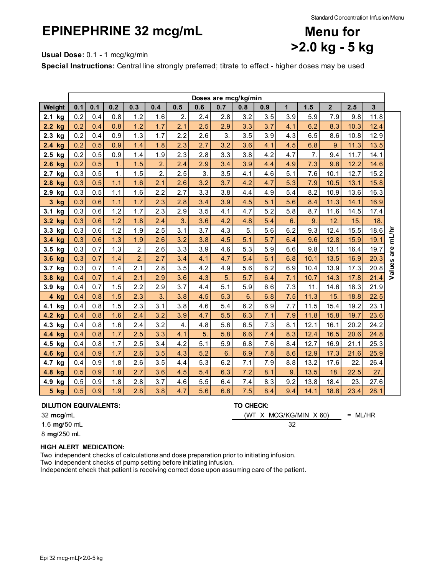Standard Concentration Infusion Menu

# **EPINEPHRINE 32 mcg/mL**



**Usual Dose:** 0.1 - 1 mcg/kg/min

**Special Instructions:** Central line strongly preferred; titrate to effect - higher doses may be used

|                               | Doses are mcg/kg/min |     |     |                  |                  |     |     |     |     |     |     |      |             |      |      |           |
|-------------------------------|----------------------|-----|-----|------------------|------------------|-----|-----|-----|-----|-----|-----|------|-------------|------|------|-----------|
| Weight                        | 0.1                  | 0.1 | 0.2 | 0.3              | 0.4              | 0.5 | 0.6 | 0.7 | 0.8 | 0.9 | 1   | 1.5  | $\mathbf 2$ | 2.5  | 3    |           |
| 2.1 kg                        | 0.2                  | 0.4 | 0.8 | 1.2              | 1.6              | 2.  | 2.4 | 2.8 | 3.2 | 3.5 | 3.9 | 5.9  | 7.9         | 9.8  | 11.8 |           |
| 2.2 kg                        | 0.2                  | 0.4 | 0.8 | 1.2              | 1.7              | 2.1 | 2.5 | 2.9 | 3.3 | 3.7 | 4.1 | 6.2  | 8.3         | 10.3 | 12.4 |           |
| 2.3<br>kg                     | 0.2                  | 0.4 | 0.9 | 1.3              | 1.7              | 2.2 | 2.6 | 3.  | 3.5 | 3.9 | 4.3 | 6.5  | 8.6         | 10.8 | 12.9 |           |
| 2.4 kg                        | 0.2                  | 0.5 | 0.9 | 1.4              | 1.8              | 2.3 | 2.7 | 3.2 | 3.6 | 4.1 | 4.5 | 6.8  | 9.          | 11.3 | 13.5 |           |
| 2.5 kg                        | 0.2                  | 0.5 | 0.9 | 1.4              | 1.9              | 2.3 | 2.8 | 3.3 | 3.8 | 4.2 | 4.7 | 7.   | 9.4         | 11.7 | 14.1 |           |
| 2.6 kg                        | 0.2                  | 0.5 | 1.  | 1.5              | $\overline{2}$ . | 2.4 | 2.9 | 3.4 | 3.9 | 4.4 | 4.9 | 7.3  | 9.8         | 12.2 | 14.6 |           |
| 2.7<br>kg                     | 0.3                  | 0.5 | 1.  | 1.5              | $\overline{2}$ . | 2.5 | 3.  | 3.5 | 4.1 | 4.6 | 5.1 | 7.6  | 10.1        | 12.7 | 15.2 |           |
| 2.8 kg                        | 0.3                  | 0.5 | 1.1 | 1.6              | 2.1              | 2.6 | 3.2 | 3.7 | 4.2 | 4.7 | 5.3 | 7.9  | 10.5        | 13.1 | 15.8 |           |
| 2.9 kg                        | 0.3                  | 0.5 | 1.1 | 1.6              | 2.2              | 2.7 | 3.3 | 3.8 | 4.4 | 4.9 | 5.4 | 8.2  | 10.9        | 13.6 | 16.3 |           |
| 3 kg                          | 0.3                  | 0.6 | 1.1 | 1.7              | 2.3              | 2.8 | 3.4 | 3.9 | 4.5 | 5.1 | 5.6 | 8.4  | 11.3        | 14.1 | 16.9 |           |
| 3.1 kg                        | 0.3                  | 0.6 | 1.2 | 1.7              | 2.3              | 2.9 | 3.5 | 4.1 | 4.7 | 5.2 | 5.8 | 8.7  | 11.6        | 14.5 | 17.4 |           |
| 3.2 kg                        | 0.3                  | 0.6 | 1.2 | 1.8              | 2.4              | 3.  | 3.6 | 4.2 | 4.8 | 5.4 | 6.  | 9.   | 12.         | 15.  | 18.  |           |
| 3.3 kg                        | 0.3                  | 0.6 | 1.2 | 1.9              | 2.5              | 3.1 | 3.7 | 4.3 | 5.  | 5.6 | 6.2 | 9.3  | 12.4        | 15.5 | 18.6 |           |
| 3.4 kg                        | 0.3                  | 0.6 | 1.3 | 1.9              | 2.6              | 3.2 | 3.8 | 4.5 | 5.1 | 5.7 | 6.4 | 9.6  | 12.8        | 15.9 | 19.1 | are mL/hr |
| 3.5 kg                        | 0.3                  | 0.7 | 1.3 | $\overline{2}$ . | 2.6              | 3.3 | 3.9 | 4.6 | 5.3 | 5.9 | 6.6 | 9.8  | 13.1        | 16.4 | 19.7 |           |
| 3.6<br>kg                     | 0.3                  | 0.7 | 1.4 | $\overline{2}$   | 2.7              | 3.4 | 4.1 | 4.7 | 5.4 | 6.1 | 6.8 | 10.1 | 13.5        | 16.9 | 20.3 |           |
| 3.7<br>kg                     | 0.3                  | 0.7 | 1.4 | 2.1              | 2.8              | 3.5 | 4.2 | 4.9 | 5.6 | 6.2 | 6.9 | 10.4 | 13.9        | 17.3 | 20.8 | Values    |
| 3.8 kg                        | 0.4                  | 0.7 | 1.4 | 2.1              | 2.9              | 3.6 | 4.3 | 5.  | 5.7 | 6.4 | 7.1 | 10.7 | 14.3        | 17.8 | 21.4 |           |
| 3.9 kg                        | 0.4                  | 0.7 | 1.5 | 2.2              | 2.9              | 3.7 | 4.4 | 5.1 | 5.9 | 6.6 | 7.3 | 11.  | 14.6        | 18.3 | 21.9 |           |
| 4 kg                          | 0.4                  | 0.8 | 1.5 | 2.3              | $\overline{3}$ . | 3.8 | 4.5 | 5.3 | 6.  | 6.8 | 7.5 | 11.3 | 15.         | 18.8 | 22.5 |           |
| 4.1<br>kg                     | 0.4                  | 0.8 | 1.5 | 2.3              | 3.1              | 3.8 | 4.6 | 5.4 | 6.2 | 6.9 | 7.7 | 11.5 | 15.4        | 19.2 | 23.1 |           |
| 4.2 kg                        | 0.4                  | 0.8 | 1.6 | 2.4              | 3.2              | 3.9 | 4.7 | 5.5 | 6.3 | 7.1 | 7.9 | 11.8 | 15.8        | 19.7 | 23.6 |           |
| 4.3 kg                        | 0.4                  | 0.8 | 1.6 | 2.4              | 3.2              | 4.  | 4.8 | 5.6 | 6.5 | 7.3 | 8.1 | 12.1 | 16.1        | 20.2 | 24.2 |           |
| 4.4 kg                        | 0.4                  | 0.8 | 1.7 | 2.5              | 3.3              | 4.1 | 5.  | 5.8 | 6.6 | 7.4 | 8.3 | 12.4 | 16.5        | 20.6 | 24.8 |           |
| 4.5 kg                        | 0.4                  | 0.8 | 1.7 | 2.5              | 3.4              | 4.2 | 5.1 | 5.9 | 6.8 | 7.6 | 8.4 | 12.7 | 16.9        | 21.1 | 25.3 |           |
| 4.6<br>kg                     | 0.4                  | 0.9 | 1.7 | 2.6              | 3.5              | 4.3 | 5.2 | 6.  | 6.9 | 7.8 | 8.6 | 12.9 | 17.3        | 21.6 | 25.9 |           |
| 4.7<br>kg                     | 0.4                  | 0.9 | 1.8 | 2.6              | 3.5              | 4.4 | 5.3 | 6.2 | 7.1 | 7.9 | 8.8 | 13.2 | 17.6        | 22.  | 26.4 |           |
| 4.8<br>kg                     | 0.5                  | 0.9 | 1.8 | 2.7              | 3.6              | 4.5 | 5.4 | 6.3 | 7.2 | 8.1 | 9.  | 13.5 | 18.         | 22.5 | 27.  |           |
| 4.9<br>kg                     | 0.5                  | 0.9 | 1.8 | 2.8              | 3.7              | 4.6 | 5.5 | 6.4 | 7.4 | 8.3 | 9.2 | 13.8 | 18.4        | 23.  | 27.6 |           |
| $\overline{\mathbf{5}}$<br>kg | 0.5                  | 0.9 | 1.9 | 2.8              | 3.8              | 4.7 | 5.6 | 6.6 | 7.5 | 8.4 | 9.4 | 14.1 | 18.8        | 23.4 | 28.1 |           |

### **DILUTION EQUIVALENTS: TO CHECK:**

32 **mcg**/mL = ML/HR (WT X MCG/KG/MIN X 60)

1.6 **mg**/50 mL 32

8 **mg**/250 mL

### **HIGH ALERT MEDICATION:**

Two independent checks of calculations and dose preparation prior to initiating infusion. Two independent checks of pump setting before initiating infusion.

Independent check that patient is receiving correct dose upon assuming care of the patient.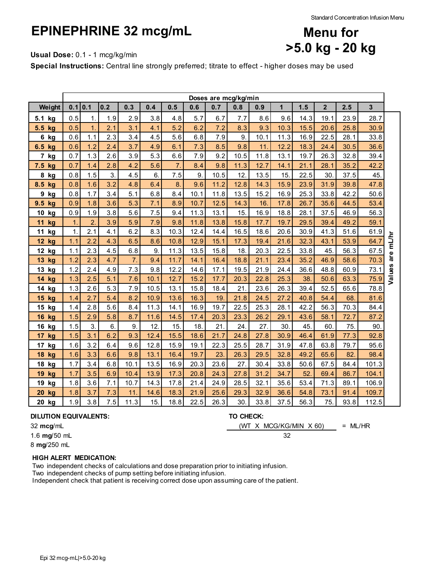# **EPINEPHRINE 32 mcg/mL**



**Usual Dose:** 0.1 - 1 mcg/kg/min

**Special Instructions:** Central line strongly preferred; titrate to effect - higher doses may be used

|                       | Doses are mcg/kg/min |                  |     |                  |      |                  |      |      |      |      |              |      |                |      |                |        |
|-----------------------|----------------------|------------------|-----|------------------|------|------------------|------|------|------|------|--------------|------|----------------|------|----------------|--------|
| Weight                |                      | 0.1 0.1          | 0.2 | 0.3              | 0.4  | 0.5              | 0.6  | 0.7  | 0.8  | 0.9  | $\mathbf{1}$ | 1.5  | $\overline{2}$ | 2.5  | 3 <sup>1</sup> |        |
| 5.1 kg                | 0.5                  | 1.               | 1.9 | 2.9              | 3.8  | 4.8              | 5.7  | 6.7  | 7.7  | 8.6  | 9.6          | 14.3 | 19.1           | 23.9 | 28.7           |        |
| 5.5 kg                | 0.5                  | 1.               | 2.1 | 3.1              | 4.1  | 5.2              | 6.2  | 7.2  | 8.3  | 9.3  | 10.3         | 15.5 | 20.6           | 25.8 | 30.9           |        |
| 6 kg                  | 0.6                  | 1.1              | 2.3 | 3.4              | 4.5  | 5.6              | 6.8  | 7.9  | 9.   | 10.1 | 11.3         | 16.9 | 22.5           | 28.1 | 33.8           |        |
| 6.5<br>kg             | 0.6                  | 1.2              | 2.4 | 3.7              | 4.9  | 6.1              | 7.3  | 8.5  | 9.8  | 11.  | 12.2         | 18.3 | 24.4           | 30.5 | 36.6           |        |
| 7<br>kg               | 0.7                  | 1.3              | 2.6 | 3.9              | 5.3  | 6.6              | 7.9  | 9.2  | 10.5 | 11.8 | 13.1         | 19.7 | 26.3           | 32.8 | 39.4           |        |
| 7.5 kg                | 0.7                  | 1.4              | 2.8 | 4.2              | 5.6  | $\overline{7}$ . | 8.4  | 9.8  | 11.3 | 12.7 | 14.1         | 21.1 | 28.1           | 35.2 | 42.2           |        |
| 8 kg                  | 0.8                  | 1.5              | 3.  | 4.5              | 6.   | 7.5              | 9.   | 10.5 | 12.  | 13.5 | 15.          | 22.5 | 30.            | 37.5 | 45.            |        |
| 8.5<br>kg             | 0.8                  | 1.6              | 3.2 | 4.8              | 6.4  | 8.               | 9.6  | 11.2 | 12.8 | 14.3 | 15.9         | 23.9 | 31.9           | 39.8 | 47.8           |        |
| 9<br>kg               | 0.8                  | 1.7              | 3.4 | 5.1              | 6.8  | 8.4              | 10.1 | 11.8 | 13.5 | 15.2 | 16.9         | 25.3 | 33.8           | 42.2 | 50.6           |        |
| 9.5<br>kq             | 0.9                  | 1.8              | 3.6 | 5.3              | 7.1  | 8.9              | 10.7 | 12.5 | 14.3 | 16.  | 17.8         | 26.7 | 35.6           | 44.5 | 53.4           |        |
| 10<br>kg              | 0.9                  | 1.9              | 3.8 | 5.6              | 7.5  | 9.4              | 11.3 | 13.1 | 15.  | 16.9 | 18.8         | 28.1 | 37.5           | 46.9 | 56.3           |        |
| 11<br>kg              | $\mathbf{1}$         | $\overline{2}$ . | 3.9 | 5.9              | 7.9  | 9.8              | 11.8 | 13.8 | 15.8 | 17.7 | 19.7         | 29.5 | 39.4           | 49.2 | 59.1           |        |
| 11<br>kg              | $\mathbf{1}$         | 2.1              | 4.1 | 6.2              | 8.3  | 10.3             | 12.4 | 14.4 | 16.5 | 18.6 | 20.6         | 30.9 | 41.3           | 51.6 | 61.9           |        |
| 12 kg                 | 1.1                  | 2.2              | 4.3 | 6.5              | 8.6  | 10.8             | 12.9 | 15.1 | 17.3 | 19.4 | 21.6         | 32.3 | 43.1           | 53.9 | 64.7           | mL/hr  |
| 12 kg                 | 1.1                  | 2.3              | 4.5 | 6.8              | 9.   | 11.3             | 13.5 | 15.8 | 18.  | 20.3 | 22.5         | 33.8 | 45.            | 56.3 | 67.5           |        |
| 13 kg                 | 1.2                  | 2.3              | 4.7 | $\overline{7}$ . | 9.4  | 11.7             | 14.1 | 16.4 | 18.8 | 21.1 | 23.4         | 35.2 | 46.9           | 58.6 | 70.3           | are    |
| 13 kg                 | 1.2                  | 2.4              | 4.9 | 7.3              | 9.8  | 12.2             | 14.6 | 17.1 | 19.5 | 21.9 | 24.4         | 36.6 | 48.8           | 60.9 | 73.1           | Values |
| 14<br>kg              | 1.3                  | 2.5              | 5.1 | 7.6              | 10.1 | 12.7             | 15.2 | 17.7 | 20.3 | 22.8 | 25.3         | 38.  | 50.6           | 63.3 | 75.9           |        |
| 14 kg                 | 1.3                  | 2.6              | 5.3 | 7.9              | 10.5 | 13.1             | 15.8 | 18.4 | 21.  | 23.6 | 26.3         | 39.4 | 52.5           | 65.6 | 78.8           |        |
| 15 kg                 | 1.4                  | 2.7              | 5.4 | 8.2              | 10.9 | 13.6             | 16.3 | 19.  | 21.8 | 24.5 | 27.2         | 40.8 | 54.4           | 68.  | 81.6           |        |
| 15 kg                 | 1.4                  | 2.8              | 5.6 | 8.4              | 11.3 | 14.1             | 16.9 | 19.7 | 22.5 | 25.3 | 28.1         | 42.2 | 56.3           | 70.3 | 84.4           |        |
| <b>16 kg</b>          | 1.5                  | 2.9              | 5.8 | 8.7              | 11.6 | 14.5             | 17.4 | 20.3 | 23.3 | 26.2 | 29.1         | 43.6 | 58.1           | 72.7 | 87.2           |        |
| 16 kg                 | 1.5                  | 3.               | 6.  | 9.               | 12.  | 15.              | 18.  | 21.  | 24.  | 27.  | 30.          | 45.  | 60.            | 75.  | 90.            |        |
| kg<br>17 <sub>2</sub> | 1.5                  | 3.1              | 6.2 | 9.3              | 12.4 | 15.5             | 18.6 | 21.7 | 24.8 | 27.8 | 30.9         | 46.4 | 61.9           | 77.3 | 92.8           |        |
| 17 kg                 | 1.6                  | 3.2              | 6.4 | 9.6              | 12.8 | 15.9             | 19.1 | 22.3 | 25.5 | 28.7 | 31.9         | 47.8 | 63.8           | 79.7 | 95.6           |        |
| 18<br>kg              | 1.6                  | 3.3              | 6.6 | 9.8              | 13.1 | 16.4             | 19.7 | 23.  | 26.3 | 29.5 | 32.8         | 49.2 | 65.6           | 82.  | 98.4           |        |
| 18 kg                 | 1.7                  | 3.4              | 6.8 | 10.1             | 13.5 | 16.9             | 20.3 | 23.6 | 27.  | 30.4 | 33.8         | 50.6 | 67.5           | 84.4 | 101.3          |        |
| 19<br>kg              | 1.7                  | 3.5              | 6.9 | 10.4             | 13.9 | 17.3             | 20.8 | 24.3 | 27.8 | 31.2 | 34.7         | 52.  | 69.4           | 86.7 | 104.1          |        |
| 19 kg                 | 1.8                  | 3.6              | 7.1 | 10.7             | 14.3 | 17.8             | 21.4 | 24.9 | 28.5 | 32.1 | 35.6         | 53.4 | 71.3           | 89.1 | 106.9          |        |
| 20<br>kg              | 1.8                  | 3.7              | 7.3 | 11.              | 14.6 | 18.3             | 21.9 | 25.6 | 29.3 | 32.9 | 36.6         | 54.8 | 73.1           | 91.4 | 109.7          |        |
| 20 kg                 | 1.9                  | 3.8              | 7.5 | 11.3             | 15.  | 18.8             | 22.5 | 26.3 | 30.  | 33.8 | 37.5         | 56.3 | 75.            | 93.8 | 112.5          |        |

#### **DILUTION EQUIVALENTS: TO CHECK:**

32 **mcg**/mL = ML/HR (WT X MCG/KG/MIN X 60)

1.6 **mg**/50 mL 32

8 **mg**/250 mL

### **HIGH ALERT MEDICATION:**

Two independent checks of calculations and dose preparation prior to initiating infusion. Two independent checks of pump setting before initiating infusion.

Independent check that patient is receiving correct dose upon assuming care of the patient.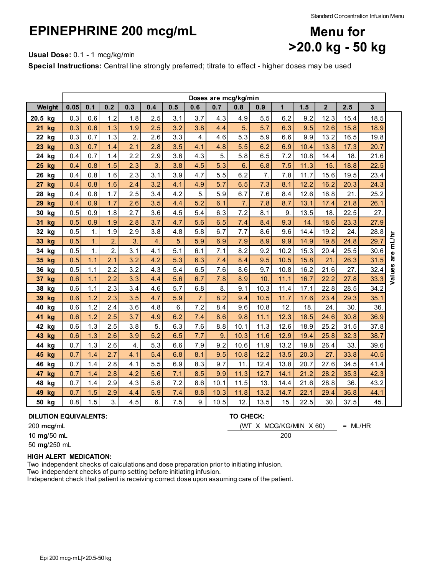# **EPINEPHRINE 200 mcg/mL**



**Usual Dose:** 0.1 - 1 mcg/kg/min

**Special Instructions:** Central line strongly preferred; titrate to effect - higher doses may be used

|          | Doses are mcg/kg/min |                |                  |                  |     |     |                  |      |                  |      |              |      |                |      |                |           |
|----------|----------------------|----------------|------------------|------------------|-----|-----|------------------|------|------------------|------|--------------|------|----------------|------|----------------|-----------|
| Weight   | 0.05                 | 0.1            | 0.2              | 0.3              | 0.4 | 0.5 | 0.6              | 0.7  | 0.8              | 0.9  | $\mathbf{1}$ | 1.5  | $\overline{2}$ | 2.5  | $\overline{3}$ |           |
| 20.5 kg  | 0.3                  | 0.6            | 1.2              | 1.8              | 2.5 | 3.1 | 3.7              | 4.3  | 4.9              | 5.5  | 6.2          | 9.2  | 12.3           | 15.4 | 18.5           |           |
| 21<br>kg | 0.3                  | 0.6            | 1.3              | 1.9              | 2.5 | 3.2 | 3.8              | 4.4  | 5.               | 5.7  | 6.3          | 9.5  | 12.6           | 15.8 | 18.9           |           |
| 22 kg    | 0.3                  | 0.7            | 1.3              | $\overline{2}$ . | 2.6 | 3.3 | 4.               | 4.6  | 5.3              | 5.9  | 6.6          | 9.9  | 13.2           | 16.5 | 19.8           |           |
| 23 kg    | 0.3                  | 0.7            | 1.4              | 2.1              | 2.8 | 3.5 | 4.1              | 4.8  | 5.5              | 6.2  | 6.9          | 10.4 | 13.8           | 17.3 | 20.7           |           |
| 24 kg    | 0.4                  | 0.7            | 1.4              | 2.2              | 2.9 | 3.6 | 4.3              | 5.   | 5.8              | 6.5  | 7.2          | 10.8 | 14.4           | 18.  | 21.6           |           |
| 25 kg    | 0.4                  | 0.8            | 1.5              | 2.3              | 3.  | 3.8 | 4.5              | 5.3  | 6.               | 6.8  | 7.5          | 11.3 | 15.            | 18.8 | 22.5           |           |
| 26 kg    | 0.4                  | 0.8            | 1.6              | 2.3              | 3.1 | 3.9 | 4.7              | 5.5  | 6.2              | 7.   | 7.8          | 11.7 | 15.6           | 19.5 | 23.4           |           |
| 27 kg    | 0.4                  | 0.8            | 1.6              | 2.4              | 3.2 | 4.1 | 4.9              | 5.7  | 6.5              | 7.3  | 8.1          | 12.2 | 16.2           | 20.3 | 24.3           |           |
| 28 kg    | 0.4                  | 0.8            | 1.7              | 2.5              | 3.4 | 4.2 | 5.               | 5.9  | 6.7              | 7.6  | 8.4          | 12.6 | 16.8           | 21.  | 25.2           |           |
| 29<br>kg | 0.4                  | 0.9            | 1.7              | 2.6              | 3.5 | 4.4 | 5.2              | 6.1  | $\overline{7}$ . | 7.8  | 8.7          | 13.1 | 17.4           | 21.8 | 26.1           |           |
| 30 kg    | 0.5                  | 0.9            | 1.8              | 2.7              | 3.6 | 4.5 | 5.4              | 6.3  | 7.2              | 8.1  | 9.           | 13.5 | 18.            | 22.5 | 27.            |           |
| 31 kg    | 0.5                  | 0.9            | 1.9              | 2.8              | 3.7 | 4.7 | 5.6              | 6.5  | 7.4              | 8.4  | 9.3          | 14.  | 18.6           | 23.3 | 27.9           |           |
| 32 kg    | 0.5                  | $\mathbf{1}$ . | 1.9              | 2.9              | 3.8 | 4.8 | 5.8              | 6.7  | 7.7              | 8.6  | 9.6          | 14.4 | 19.2           | 24.  | 28.8           |           |
| 33 kg    | 0.5                  | 1.             | 2.               | 3.               | 4.  | 5.  | 5.9              | 6.9  | 7.9              | 8.9  | 9.9          | 14.9 | 19.8           | 24.8 | 29.7           | are mL/hr |
| 34 kg    | 0.5                  | $\mathbf 1$ .  | $\overline{2}$ . | 3.1              | 4.1 | 5.1 | 6.1              | 7.1  | 8.2              | 9.2  | 10.2         | 15.3 | 20.4           | 25.5 | 30.6           |           |
| 35 kg    | 0.5                  | 1.1            | 2.1              | 3.2              | 4.2 | 5.3 | 6.3              | 7.4  | 8.4              | 9.5  | 10.5         | 15.8 | 21.            | 26.3 | 31.5           |           |
| 36 kg    | 0.5                  | 1.1            | 2.2              | 3.2              | 4.3 | 5.4 | 6.5              | 7.6  | 8.6              | 9.7  | 10.8         | 16.2 | 21.6           | 27.  | 32.4           | Values    |
| 37 kg    | 0.6                  | 1.1            | 2.2              | 3.3              | 4.4 | 5.6 | 6.7              | 7.8  | 8.9              | 10.  | 11.1         | 16.7 | 22.2           | 27.8 | 33.3           |           |
| 38 kg    | 0.6                  | 1.1            | 2.3              | 3.4              | 4.6 | 5.7 | 6.8              | 8.   | 9.1              | 10.3 | 11.4         | 17.1 | 22.8           | 28.5 | 34.2           |           |
| 39 kg    | 0.6                  | 1.2            | 2.3              | 3.5              | 4.7 | 5.9 | $\overline{7}$ . | 8.2  | 9.4              | 10.5 | 11.7         | 17.6 | 23.4           | 29.3 | 35.1           |           |
| 40 kg    | 0.6                  | 1.2            | 2.4              | 3.6              | 4.8 | 6.  | 7.2              | 8.4  | 9.6              | 10.8 | 12.          | 18.  | 24.            | 30.  | 36.            |           |
| 41<br>kg | 0.6                  | 1.2            | 2.5              | 3.7              | 4.9 | 6.2 | 7.4              | 8.6  | 9.8              | 11.1 | 12.3         | 18.5 | 24.6           | 30.8 | 36.9           |           |
| 42 kg    | 0.6                  | 1.3            | 2.5              | 3.8              | 5.  | 6.3 | 7.6              | 8.8  | 10.1             | 11.3 | 12.6         | 18.9 | 25.2           | 31.5 | 37.8           |           |
| 43 kg    | 0.6                  | 1.3            | 2.6              | 3.9              | 5.2 | 6.5 | 7.7              | 9.   | 10.3             | 11.6 | 12.9         | 19.4 | 25.8           | 32.3 | 38.7           |           |
| 44 kg    | 0.7                  | 1.3            | 2.6              | 4.               | 5.3 | 6.6 | 7.9              | 9.2  | 10.6             | 11.9 | 13.2         | 19.8 | 26.4           | 33.  | 39.6           |           |
| 45 kg    | 0.7                  | 1.4            | 2.7              | 4.1              | 5.4 | 6.8 | 8.1              | 9.5  | 10.8             | 12.2 | 13.5         | 20.3 | 27.            | 33.8 | 40.5           |           |
| 46 kg    | 0.7                  | 1.4            | 2.8              | 4.1              | 5.5 | 6.9 | 8.3              | 9.7  | 11.              | 12.4 | 13.8         | 20.7 | 27.6           | 34.5 | 41.4           |           |
| 47 kg    | 0.7                  | 1.4            | 2.8              | 4.2              | 5.6 | 7.1 | 8.5              | 9.9  | 11.3             | 12.7 | 14.1         | 21.2 | 28.2           | 35.3 | 42.3           |           |
| 48 kg    | 0.7                  | 1.4            | 2.9              | 4.3              | 5.8 | 7.2 | 8.6              | 10.1 | 11.5             | 13.  | 14.4         | 21.6 | 28.8           | 36.  | 43.2           |           |
| 49 kg    | 0.7                  | 1.5            | 2.9              | 4.4              | 5.9 | 7.4 | 8.8              | 10.3 | 11.8             | 13.2 | 14.7         | 22.1 | 29.4           | 36.8 | 44.1           |           |
| 50 kg    | 0.8                  | 1.5            | 3.               | 4.5              | 6.  | 7.5 | 9.               | 10.5 | 12.              | 13.5 | 15.          | 22.5 | 30.            | 37.5 | 45.            |           |

#### **DILUTION EQUIVALENTS: TO CHECK:**

**mcg**/mL = ML/HR (WT X MCG/KG/MIN X 60)

**mg**/50 mL 200

**mg**/250 mL

### **HIGH ALERT MEDICATION:**

Two independent checks of calculations and dose preparation prior to initiating infusion. Two independent checks of pump setting before initiating infusion.

Independent check that patient is receiving correct dose upon assuming care of the patient.